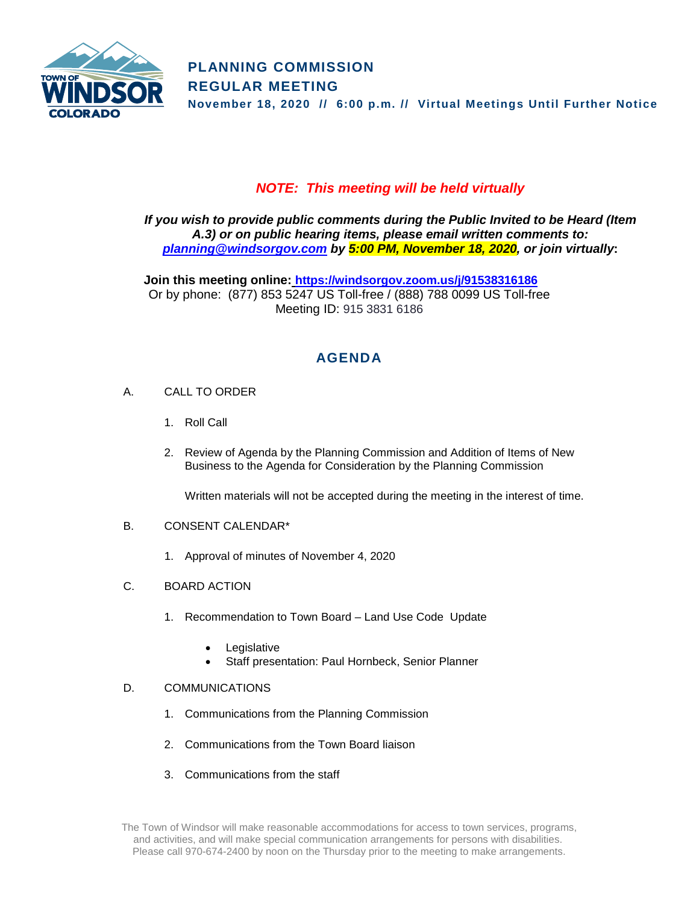

## *NOTE: This meeting will be held virtually*

*If you wish to provide public comments during the Public Invited to be Heard (Item A.3) or on public hearing items, please email written comments to: [planning@windsorgov.com](mailto:planning@windsorgov.com) by 5:00 PM, November 18, 2020, or join virtually***:**

**Join this meeting online: <https://windsorgov.zoom.us/j/91538316186>** Or by phone: (877) 853 5247 US Toll-free / (888) 788 0099 US Toll-free Meeting ID: 915 3831 6186

# **AGENDA**

- A. CALL TO ORDER
	- 1. Roll Call
	- 2. Review of Agenda by the Planning Commission and Addition of Items of New Business to the Agenda for Consideration by the Planning Commission

Written materials will not be accepted during the meeting in the interest of time.

### B. CONSENT CALENDAR\*

- 1. Approval of minutes of November 4, 2020
- C. BOARD ACTION
	- 1. Recommendation to Town Board Land Use Code Update
		- **Legislative**
		- Staff presentation: Paul Hornbeck, Senior Planner

### D. COMMUNICATIONS

- 1. Communications from the Planning Commission
- 2. Communications from the Town Board liaison
- 3. Communications from the staff

The Town of Windsor will make reasonable accommodations for access to town services, programs, and activities, and will make special communication arrangements for persons with disabilities. Please call 970-674-2400 by noon on the Thursday prior to the meeting to make arrangements.